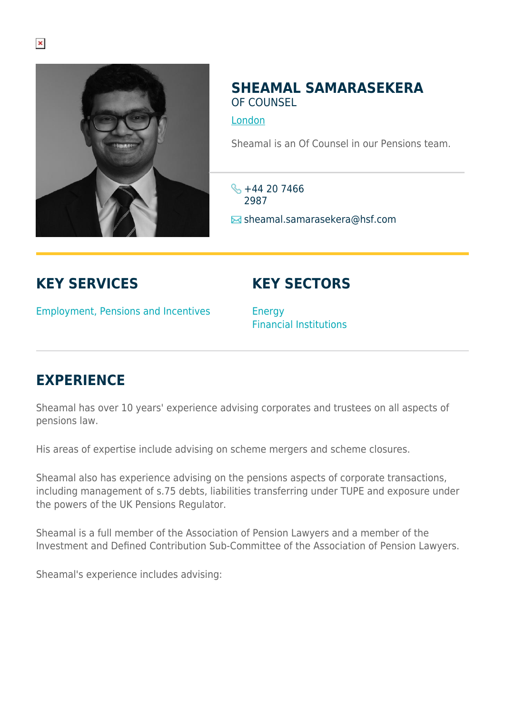

## **SHEAMAL SAMARASEKERA** OF COUNSEL

[London](https://www.herbertsmithfreehills.com/where-we-work/london)

Sheamal is an Of Counsel in our Pensions team.

 $\frac{1}{2}$  +44 20 7466 2987  $\text{■}$  sheamal.samarasekera@hsf.com

## **KEY SERVICES**

## **KEY SECTORS**

Employment, Pensions and Incentives

**Energy** Financial Institutions

## **EXPERIENCE**

Sheamal has over 10 years' experience advising corporates and trustees on all aspects of pensions law.

His areas of expertise include advising on scheme mergers and scheme closures.

Sheamal also has experience advising on the pensions aspects of corporate transactions, including management of s.75 debts, liabilities transferring under TUPE and exposure under the powers of the UK Pensions Regulator.

Sheamal is a full member of the Association of Pension Lawyers and a member of the Investment and Defined Contribution Sub-Committee of the Association of Pension Lawyers.

Sheamal's experience includes advising: